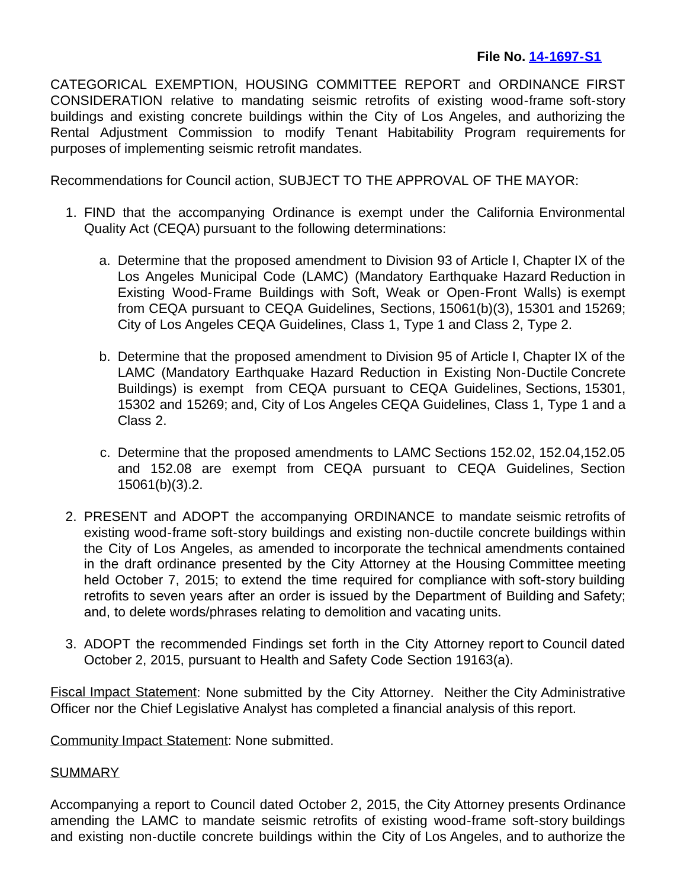CATEGORICAL EXEMPTION, HOUSING COMMITTEE REPORT and ORDINANCE FIRST CONSIDERATION relative to mandating seismic retrofits of existing wood-frame soft-story buildings and existing concrete buildings within the City of Los Angeles, and authorizing the Rental Adjustment Commission to modify Tenant Habitability Program requirements for purposes of implementing seismic retrofit mandates.

Recommendations for Council action, SUBJECT TO THE APPROVAL OF THE MAYOR:

- 1. FIND that the accompanying Ordinance is exempt under the California Environmental Quality Act (CEQA) pursuant to the following determinations:
	- a. Determine that the proposed amendment to Division 93 of Article I, Chapter IX of the Los Angeles Municipal Code (LAMC) (Mandatory Earthquake Hazard Reduction in Existing Wood-Frame Buildings with Soft, Weak or Open-Front Walls) is exempt from CEQA pursuant to CEQA Guidelines, Sections, 15061(b)(3), 15301 and 15269; City of Los Angeles CEQA Guidelines, Class 1, Type 1 and Class 2, Type 2.
	- b. Determine that the proposed amendment to Division 95 of Article I, Chapter IX of the LAMC (Mandatory Earthquake Hazard Reduction in Existing Non-Ductile Concrete Buildings) is exempt from CEQA pursuant to CEQA Guidelines, Sections, 15301, 15302 and 15269; and, City of Los Angeles CEQA Guidelines, Class 1, Type 1 and a Class 2.
	- c. Determine that the proposed amendments to LAMC Sections 152.02, 152.04,152.05 and 152.08 are exempt from CEQA pursuant to CEQA Guidelines, Section 15061(b)(3).2.
- 2. PRESENT and ADOPT the accompanying ORDINANCE to mandate seismic retrofits of existing wood-frame soft-story buildings and existing non-ductile concrete buildings within the City of Los Angeles, as amended to incorporate the technical amendments contained in the draft ordinance presented by the City Attorney at the Housing Committee meeting held October 7, 2015; to extend the time required for compliance with soft-story building retrofits to seven years after an order is issued by the Department of Building and Safety; and, to delete words/phrases relating to demolition and vacating units.
- 3. ADOPT the recommended Findings set forth in the City Attorney report to Council dated October 2, 2015, pursuant to Health and Safety Code Section 19163(a).

Fiscal Impact Statement: None submitted by the City Attorney. Neither the City Administrative Officer nor the Chief Legislative Analyst has completed a financial analysis of this report.

Community Impact Statement: None submitted.

## **SUMMARY**

Accompanying a report to Council dated October 2, 2015, the City Attorney presents Ordinance amending the LAMC to mandate seismic retrofits of existing wood-frame soft-story buildings and existing non-ductile concrete buildings within the City of Los Angeles, and to authorize the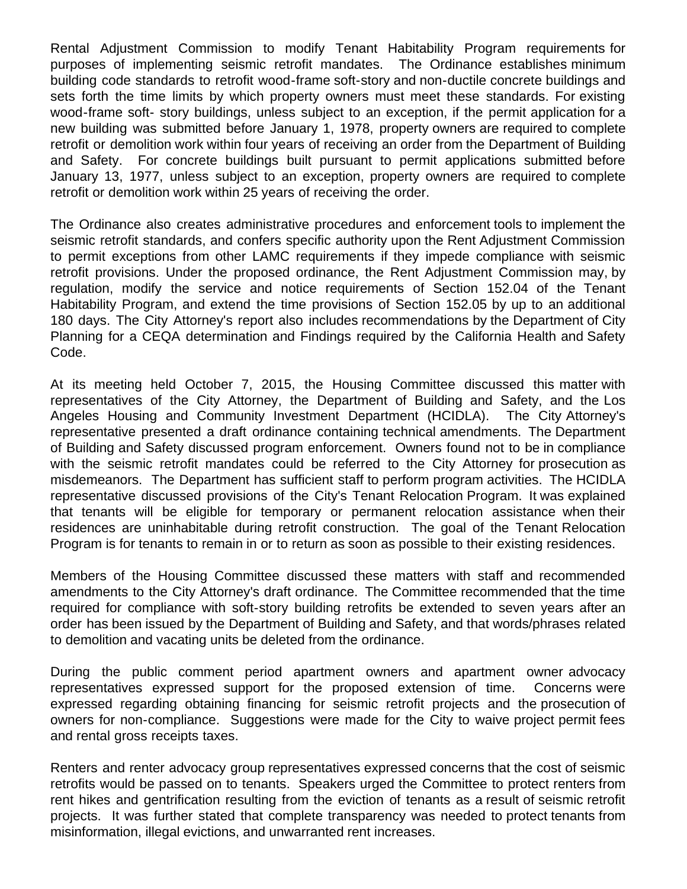Rental Adjustment Commission to modify Tenant Habitability Program requirements for purposes of implementing seismic retrofit mandates. The Ordinance establishes minimum building code standards to retrofit wood-frame soft-story and non-ductile concrete buildings and sets forth the time limits by which property owners must meet these standards. For existing wood-frame soft- story buildings, unless subject to an exception, if the permit application for a new building was submitted before January 1, 1978, property owners are required to complete retrofit or demolition work within four years of receiving an order from the Department of Building and Safety. For concrete buildings built pursuant to permit applications submitted before January 13, 1977, unless subject to an exception, property owners are required to complete retrofit or demolition work within 25 years of receiving the order.

The Ordinance also creates administrative procedures and enforcement tools to implement the seismic retrofit standards, and confers specific authority upon the Rent Adjustment Commission to permit exceptions from other LAMC requirements if they impede compliance with seismic retrofit provisions. Under the proposed ordinance, the Rent Adjustment Commission may, by regulation, modify the service and notice requirements of Section 152.04 of the Tenant Habitability Program, and extend the time provisions of Section 152.05 by up to an additional 180 days. The City Attorney's report also includes recommendations by the Department of City Planning for a CEQA determination and Findings required by the California Health and Safety Code.

At its meeting held October 7, 2015, the Housing Committee discussed this matter with representatives of the City Attorney, the Department of Building and Safety, and the Los Angeles Housing and Community Investment Department (HCIDLA). The City Attorney's representative presented a draft ordinance containing technical amendments. The Department of Building and Safety discussed program enforcement. Owners found not to be in compliance with the seismic retrofit mandates could be referred to the City Attorney for prosecution as misdemeanors. The Department has sufficient staff to perform program activities. The HCIDLA representative discussed provisions of the City's Tenant Relocation Program. It was explained that tenants will be eligible for temporary or permanent relocation assistance when their residences are uninhabitable during retrofit construction. The goal of the Tenant Relocation Program is for tenants to remain in or to return as soon as possible to their existing residences.

Members of the Housing Committee discussed these matters with staff and recommended amendments to the City Attorney's draft ordinance. The Committee recommended that the time required for compliance with soft-story building retrofits be extended to seven years after an order has been issued by the Department of Building and Safety, and that words/phrases related to demolition and vacating units be deleted from the ordinance.

During the public comment period apartment owners and apartment owner advocacy representatives expressed support for the proposed extension of time. Concerns were expressed regarding obtaining financing for seismic retrofit projects and the prosecution of owners for non-compliance. Suggestions were made for the City to waive project permit fees and rental gross receipts taxes.

Renters and renter advocacy group representatives expressed concerns that the cost of seismic retrofits would be passed on to tenants. Speakers urged the Committee to protect renters from rent hikes and gentrification resulting from the eviction of tenants as a result of seismic retrofit projects. It was further stated that complete transparency was needed to protect tenants from misinformation, illegal evictions, and unwarranted rent increases.